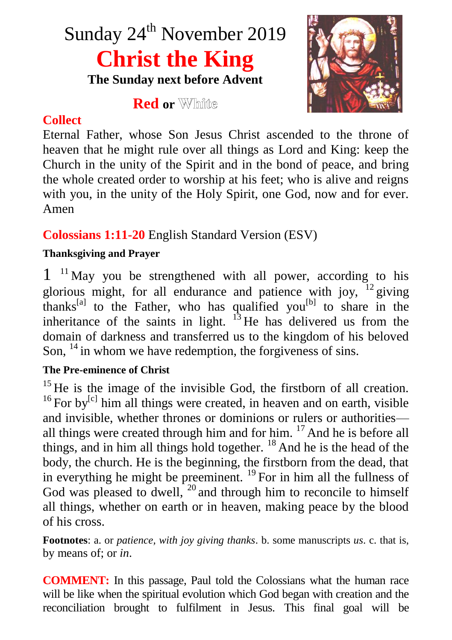# Sunday 24<sup>th</sup> November 2019 **Christ the King The Sunday next before Advent**

**Red or**

## **Collect**

Eternal Father, whose Son Jesus Christ ascended to the throne of heaven that he might rule over all things as Lord and King: keep the Church in the unity of the Spirit and in the bond of peace, and bring the whole created order to worship at his feet; who is alive and reigns with you, in the unity of the Holy Spirit, one God, now and for ever. Amen

# **Colossians 1:11-20** English Standard Version (ESV)

## **Thanksgiving and Prayer**

 $1<sup>11</sup>$  May you be strengthened with all power, according to his glorious might, for all endurance and patience with joy,  $^{12}$  giving thanks<sup>[a]</sup> to the Father, who has qualified you<sup>[b]</sup> to share in the inheritance of the saints in light.  $13$  He has delivered us from the domain of darkness and transferred us to the kingdom of his beloved Son,  $^{14}$  in whom we have redemption, the forgiveness of sins.

#### **The Pre-eminence of Christ**

 $15$  He is the image of the invisible God, the firstborn of all creation. <sup>16</sup> For by<sup>[c]</sup> him all things were created, in heaven and on earth, visible and invisible, whether thrones or dominions or rulers or authorities all things were created through him and for him.  $17$  And he is before all things, and in him all things hold together.  $^{18}$  And he is the head of the body, the church. He is the beginning, the firstborn from the dead, that in everything he might be preeminent.  $^{19}$  For in him all the fullness of God was pleased to dwell,  $^{20}$  and through him to reconcile to himself all things, whether on earth or in heaven, making peace by the blood of his cross.

**Footnotes**: a. or *patience, with joy giving thanks*. b. some manuscripts *us*. c. that is, by means of; or *in*.

**COMMENT:** In this passage, Paul told the Colossians what the human race will be like when the spiritual evolution which God began with creation and the reconciliation brought to fulfilment in Jesus. This final goal will be

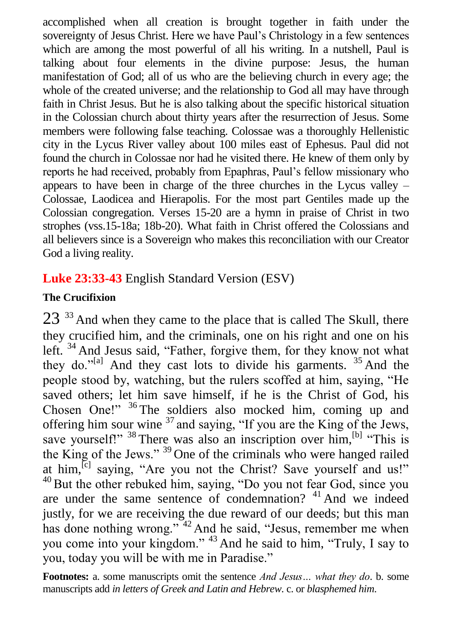accomplished when all creation is brought together in faith under the sovereignty of Jesus Christ. Here we have Paul's Christology in a few sentences which are among the most powerful of all his writing. In a nutshell, Paul is talking about four elements in the divine purpose: Jesus, the human manifestation of God; all of us who are the believing church in every age; the whole of the created universe; and the relationship to God all may have through faith in Christ Jesus. But he is also talking about the specific historical situation in the Colossian church about thirty years after the resurrection of Jesus. Some members were following false teaching. Colossae was a thoroughly Hellenistic city in the Lycus River valley about 100 miles east of Ephesus. Paul did not found the church in Colossae nor had he visited there. He knew of them only by reports he had received, probably from Epaphras, Paul's fellow missionary who appears to have been in charge of the three churches in the Lycus valley – Colossae, Laodicea and Hierapolis. For the most part Gentiles made up the Colossian congregation. Verses 15-20 are a hymn in praise of Christ in two strophes (vss.15-18a; 18b-20). What faith in Christ offered the Colossians and all believers since is a Sovereign who makes this reconciliation with our Creator God a living reality.

## **Luke 23:33-43** English Standard Version (ESV)

#### **The Crucifixion**

 $23^{33}$  And when they came to the place that is called The Skull, there they crucified him, and the criminals, one on his right and one on his left. <sup>34</sup> And Jesus said, "Father, forgive them, for they know not what they do."<sup>[a]</sup> And they cast lots to divide his garments.  $35$  And the people stood by, watching, but the rulers scoffed at him, saying, "He saved others; let him save himself, if he is the Christ of God, his Chosen One!" <sup>36</sup> The soldiers also mocked him, coming up and offering him sour wine  $37$  and saying, "If you are the King of the Jews, save yourself!"  $38$  There was also an inscription over him.<sup>[b]</sup> "This is the King of the Jews." <sup>39</sup> One of the criminals who were hanged railed at him,  $\left[\begin{array}{ccc} c & c \end{array}\right]$  saying, "Are you not the Christ? Save yourself and us!"  $40$  But the other rebuked him, saying, "Do you not fear God, since you are under the same sentence of condemnation? <sup>41</sup> And we indeed justly, for we are receiving the due reward of our deeds; but this man has done nothing wrong."<sup>42</sup> And he said, "Jesus, remember me when you come into your kingdom." <sup>43</sup> And he said to him, "Truly, I say to you, today you will be with me in Paradise."

**Footnotes:** a. some manuscripts omit the sentence *And Jesus… what they do*. b. some manuscripts add *in letters of Greek and Latin and Hebrew*. c. or *blasphemed him*.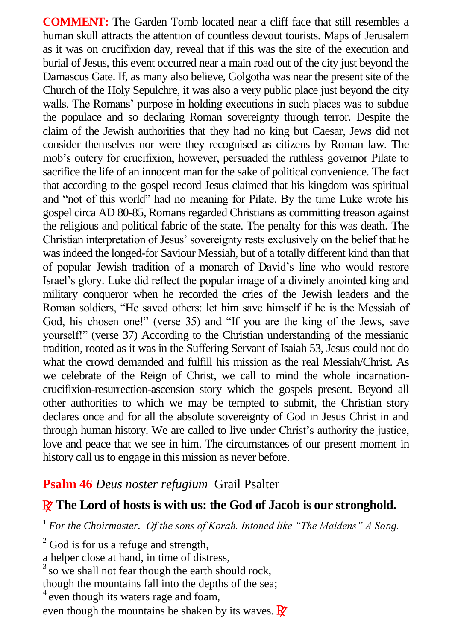**COMMENT:** The Garden Tomb located near a cliff face that still resembles a human skull attracts the attention of countless devout tourists. Maps of Jerusalem as it was on crucifixion day, reveal that if this was the site of the execution and burial of Jesus, this event occurred near a main road out of the city just beyond the Damascus Gate. If, as many also believe, Golgotha was near the present site of the Church of the Holy Sepulchre, it was also a very public place just beyond the city walls. The Romans' purpose in holding executions in such places was to subdue the populace and so declaring Roman sovereignty through terror. Despite the claim of the Jewish authorities that they had no king but Caesar, Jews did not consider themselves nor were they recognised as citizens by Roman law. The mob's outcry for crucifixion, however, persuaded the ruthless governor Pilate to sacrifice the life of an innocent man for the sake of political convenience. The fact that according to the gospel record Jesus claimed that his kingdom was spiritual and "not of this world" had no meaning for Pilate. By the time Luke wrote his gospel circa AD 80-85, Romans regarded Christians as committing treason against the religious and political fabric of the state. The penalty for this was death. The Christian interpretation of Jesus' sovereignty rests exclusively on the belief that he was indeed the longed-for Saviour Messiah, but of a totally different kind than that of popular Jewish tradition of a monarch of David's line who would restore Israel's glory. Luke did reflect the popular image of a divinely anointed king and military conqueror when he recorded the cries of the Jewish leaders and the Roman soldiers, "He saved others: let him save himself if he is the Messiah of God, his chosen one!" (verse 35) and "If you are the king of the Jews, save yourself!" (verse 37) According to the Christian understanding of the messianic tradition, rooted as it was in the Suffering Servant of Isaiah 53, Jesus could not do what the crowd demanded and fulfill his mission as the real Messiah/Christ. As we celebrate of the Reign of Christ, we call to mind the whole incarnationcrucifixion-resurrection-ascension story which the gospels present. Beyond all other authorities to which we may be tempted to submit, the Christian story declares once and for all the absolute sovereignty of God in Jesus Christ in and through human history. We are called to live under Christ's authority the justice, love and peace that we see in him. The circumstances of our present moment in history call us to engage in this mission as never before.

#### **Psalm 46** *Deus noster refugium* Grail Psalter

## R **The Lord of hosts is with us: the God of Jacob is our stronghold.**

<sup>1</sup> *For the Choirmaster. Of the sons of Korah. Intoned like "The Maidens" A Song.*

 $2^2$  God is for us a refuge and strength,

a helper close at hand, in time of distress,

 $3$  so we shall not fear though the earth should rock.

though the mountains fall into the depths of the sea;

<sup>4</sup> even though its waters rage and foam,

even though the mountains be shaken by its waves.  $\mathbb{R}^7$